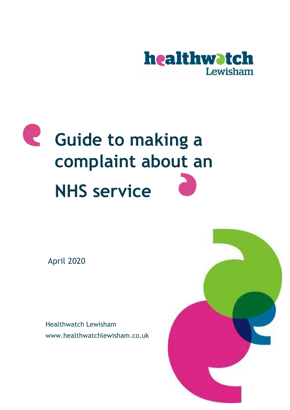

# **Guide to making a complaint about an NHS service**

April 2020

Healthwatch Lewisham www.healthwatchlewisham.co.uk

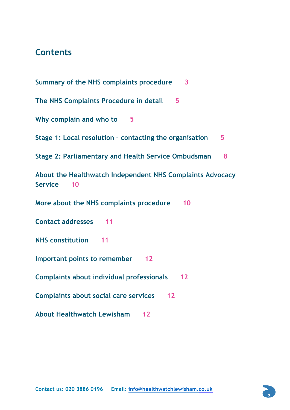# **Contents**

**Summary of the NHS complaints procedure 3 The NHS Complaints Procedure in detail 5 Why complain and who to 5 Stage 1: Local resolution – contacting the organisation 5 Stage 2: Parliamentary and Health Service Ombudsman 8 About the Healthwatch Independent NHS Complaints Advocacy Service 10 More about the NHS complaints procedure 10 Contact addresses 11 NHS constitution 11 Important points to remember 12 Complaints about individual professionals 12 Complaints about social care services 12 About Healthwatch Lewisham 12**

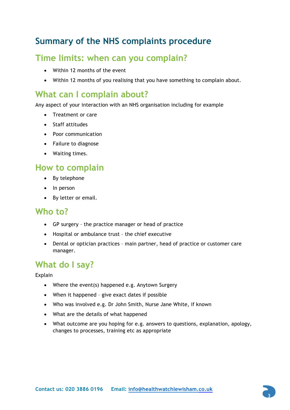# **Summary of the NHS complaints procedure**

# **Time limits: when can you complain?**

- Within 12 months of the event
- Within 12 months of you realising that you have something to complain about.

# **What can I complain about?**

Any aspect of your interaction with an NHS organisation including for example

- Treatment or care
- Staff attitudes
- Poor communication
- Failure to diagnose
- Waiting times.

# **How to complain**

- By telephone
- In person
- By letter or email.

### **Who to?**

- GP surgery the practice manager or head of practice
- Hospital or ambulance trust the chief executive
- Dental or optician practices main partner, head of practice or customer care manager.

# **What do I say?**

Explain

- Where the event(s) happened e.g. Anytown Surgery
- When it happened give exact dates if possible
- Who was involved e.g. Dr John Smith, Nurse Jane White, if known
- What are the details of what happened
- What outcome are you hoping for e.g. answers to questions, explanation, apology, changes to processes, training etc as appropriate

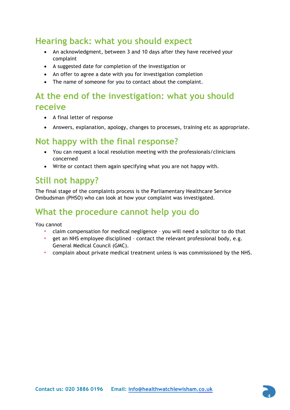# **Hearing back: what you should expect**

- An acknowledgment, between 3 and 10 days after they have received your complaint
- A suggested date for completion of the investigation or
- An offer to agree a date with you for investigation completion
- The name of someone for you to contact about the complaint.

# **At the end of the investigation: what you should receive**

- A final letter of response
- Answers, explanation, apology, changes to processes, training etc as appropriate.

### **Not happy with the final response?**

- You can request a local resolution meeting with the professionals/clinicians concerned
- Write or contact them again specifying what you are not happy with.

# **Still not happy?**

The final stage of the complaints process is the Parliamentary Healthcare Service Ombudsman (PHSO) who can look at how your complaint was investigated.

# **What the procedure cannot help you do**

You cannot

- claim compensation for medical negligence you will need a solicitor to do that
- get an NHS employee disciplined contact the relevant professional body, e.g. General Medical Council (GMC).
- complain about private medical treatment unless is was commissioned by the NHS.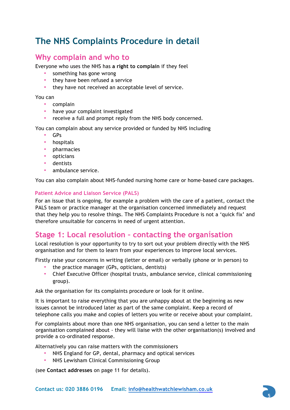# **The NHS Complaints Procedure in detail**

### **Why complain and who to**

Everyone who uses the NHS has **a right to complain** if they feel

- something has gone wrong
- they have been refused a service
- they have not received an acceptable level of service.

You can

- complain
- have your complaint investigated
- receive a full and prompt reply from the NHS body concerned.

You can complain about any service provided or funded by NHS including

- GPs
- hospitals
- pharmacies
- opticians
- dentists
- ambulance service.

You can also complain about NHS-funded nursing home care or home-based care packages.

#### **Patient Advice and Liaison Service (PALS)**

For an issue that is ongoing, for example a problem with the care of a patient, contact the PALS team or practice manager at the organisation concerned immediately and request that they help you to resolve things. The NHS Complaints Procedure is not a 'quick fix' and therefore unsuitable for concerns in need of urgent attention.

### **Stage 1: Local resolution – contacting the organ**i**sation**

Local resolution is your opportunity to try to sort out your problem directly with the NHS organisation and for them to learn from your experiences to improve local services.

Firstly raise your concerns in writing (letter or email) or verbally (phone or in person) to

- the practice manager (GPs, opticians, dentists)
- Chief Executive Officer (hospital trusts, ambulance service, clinical commissioning group).

Ask the organisation for its complaints procedure or look for it online.

It is important to raise everything that you are unhappy about at the beginning as new issues cannot be introduced later as part of the same complaint. Keep a record of telephone calls you make and copies of letters you write or receive about your complaint.

For complaints about more than one NHS organisation, you can send a letter to the main organisation complained about - they will liaise with the other organisation(s) involved and provide a co-ordinated response.

Alternatively you can raise matters with the commissioners

- NHS England for GP, dental, pharmacy and optical services
- NHS Lewisham Clinical Commissioning Group

(see **Contact addresses** on page 11 for details).

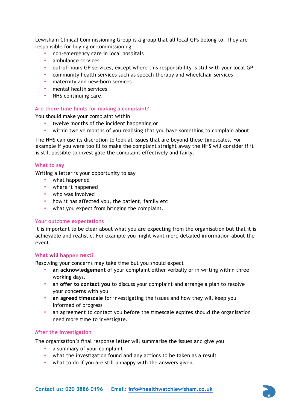Lewisham Clinical Commissioning Group is a group that all local GPs belong to. They are responsible for buying or commissioning

- non-emergency care in local hospitals
- ambulance services
- out-of-hours GP services, except where this responsibility is still with your local GP
- community health services such as speech therapy and wheelchair services
- maternity and new-born services
- mental health services
- NHS continuing care.

#### **Are there time limits for making a complaint?**

You should make your complaint within

- twelve months of the incident happening or
- within twelve months of you realising that you have something to complain about.

The NHS can use its discretion to look at issues that are beyond these timescales. For example if you were too ill to make the complaint straight away the NHS will consider if it is still possible to investigate the complaint effectively and fairly.

#### **What to say**

Writing a letter is your opportunity to say

- what happened
- where it happened
- who was involved
- how it has affected you, the patient, family etc
- what you expect from bringing the complaint.

#### **Your outcome expectations**

It is important to be clear about what you are expecting from the organisation but that it is achievable and realistic. For example you might want more detailed information about the event.

#### **What will happen next?**

Resolving your concerns may take time but you should expect

- **an acknowledgement** of your complaint either verbally or in writing within three working days.
- an **offer to contact you** to discuss your complaint and arrange a plan to resolve your concerns with you
- **an agreed timescale** for investigating the issues and how they will keep you informed of progress
- an agreement to contact you before the timescale expires should the organisation need more time to investigate.

#### **After the investigation**

The organisation's final response letter will summarise the issues and give you

- a summary of your complaint
- what the investigation found and any actions to be taken as a result
- what to do if you are still unhappy with the answers given.

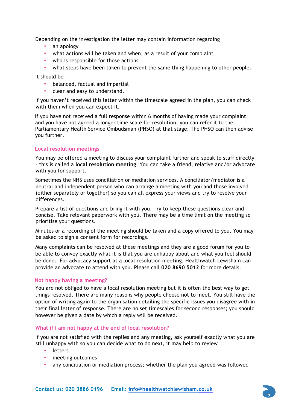Depending on the investigation the letter may contain information regarding

- an apology
- what actions will be taken and when, as a result of your complaint
- who is responsible for those actions
- what steps have been taken to prevent the same thing happening to other people.

It should be

- balanced, factual and impartial
- clear and easy to understand.

If you haven't received this letter within the timescale agreed in the plan, you can check with them when you can expect it.

If you have not received a full response within 6 months of having made your complaint, and you have not agreed a longer time scale for resolution, you can refer it to the Parliamentary Health Service Ombudsman (PHSO) at that stage. The PHSO can then advise you further.

#### **Local resolution meetings**

You may be offered a meeting to discuss your complaint further and speak to staff directly – this is called a **local resolution meeting**. You can take a friend, relative and/or advocate with you for support.

Sometimes the NHS uses conciliation or mediation services. A conciliator/mediator is a neutral and independent person who can arrange a meeting with you and those involved (either separately or together) so you can all express your views and try to resolve your differences.

Prepare a list of questions and bring it with you. Try to keep these questions clear and concise. Take relevant paperwork with you. There may be a time limit on the meeting so prioritise your questions.

Minutes or a recording of the meeting should be taken and a copy offered to you. You may be asked to sign a consent form for recordings.

Many complaints can be resolved at these meetings and they are a good forum for you to be able to convey exactly what it is that you are unhappy about and what you feel should be done. For advocacy support at a local resolution meeting, Healthwatch Lewisham can provide an advocate to attend with you. Please call **020 8690 5012** for more details.

#### **Not happy having a meeting?**

You are not obliged to have a local resolution meeting but it is often the best way to get things resolved. There are many reasons why people choose not to meet. You still have the option of writing again to the organisation detailing the specific issues you disagree with in their final letter of response. There are no set timescales for second responses; you should however be given a date by which a reply will be received.

#### **What if I am not happy at the end of local resolution?**

If you are not satisfied with the replies and any meeting, ask yourself exactly what you are still unhappy with so you can decide what to do next, it may help to review

- letters
- meeting outcomes
- any conciliation or mediation process; whether the plan you agreed was followed

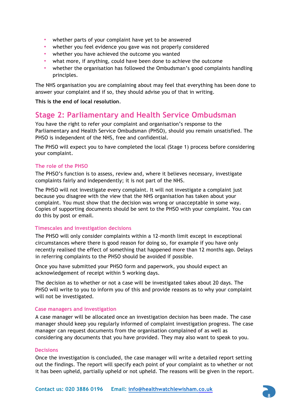- whether parts of your complaint have yet to be answered
- whether you feel evidence you gave was not properly considered
- whether you have achieved the outcome you wanted
- what more, if anything, could have been done to achieve the outcome
- whether the organisation has followed the Ombudsman's good complaints handling principles.

The NHS organisation you are complaining about may feel that everything has been done to answer your complaint and if so, they should advise you of that in writing.

**This is the end of local resolution**.

### **Stage 2: Parliamentary and Health Service Ombudsman**

You have the right to refer your complaint and organisation's response to the Parliamentary and Health Service Ombudsman (PHSO), should you remain unsatisfied. The PHSO is independent of the NHS, free and confidential.

The PHSO will expect you to have completed the local (Stage 1) process before considering your complaint.

#### **The role of the PHSO**

The PHSO's function is to assess, review and, where it believes necessary, investigate complaints fairly and independently; it is not part of the NHS.

The PHSO will not investigate every complaint. It will not investigate a complaint just because you disagree with the view that the NHS organisation has taken about your complaint. You must show that the decision was wrong or unacceptable in some way. Copies of supporting documents should be sent to the PHSO with your complaint. You can do this by post or email.

#### **Timescales and investigation decisions**

The PHSO will only consider complaints within a 12-month limit except in exceptional circumstances where there is good reason for doing so, for example if you have only recently realised the effect of something that happened more than 12 months ago. Delays in referring complaints to the PHSO should be avoided if possible.

Once you have submitted your PHSO form and paperwork, you should expect an acknowledgement of receipt within 5 working days.

The decision as to whether or not a case will be investigated takes about 20 days. The PHSO will write to you to inform you of this and provide reasons as to why your complaint will not be investigated.

#### **Case managers and investigation**

A case manager will be allocated once an investigation decision has been made. The case manager should keep you regularly informed of complaint investigation progress. The case manager can request documents from the organisation complained of as well as considering any documents that you have provided. They may also want to speak to you.

#### **Decisions**

Once the investigation is concluded, the case manager will write a detailed report setting out the findings. The report will specify each point of your complaint as to whether or not it has been upheld, partially upheld or not upheld. The reasons will be given in the report.

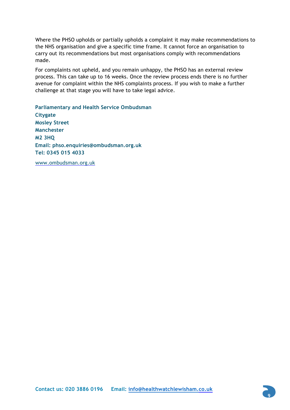Where the PHSO upholds or partially upholds a complaint it may make recommendations to the NHS organisation and give a specific time frame. It cannot force an organisation to carry out its recommendations but most organisations comply with recommendations made.

For complaints not upheld, and you remain unhappy, the PHSO has an external review process. This can take up to 16 weeks. Once the review process ends there is no further avenue for complaint within the NHS complaints process. If you wish to make a further challenge at that stage you will have to take legal advice.

**Parliamentary and Health Service Ombudsman Citygate Mosley Street Manchester M2 3HQ Email: phso.enquiries@ombudsman.org.uk Tel: 0345 015 4033** 

www.ombudsman.org.uk

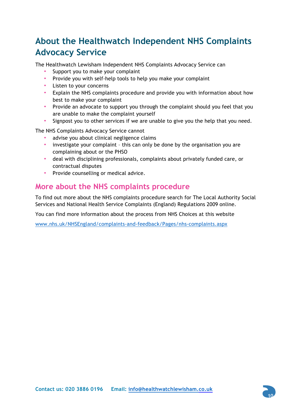# **About the Healthwatch Independent NHS Complaints Advocacy Service**

The Healthwatch Lewisham Independent NHS Complaints Advocacy Service can

- Support you to make your complaint
- Provide you with self-help tools to help you make your complaint
- Listen to your concerns
- Explain the NHS complaints procedure and provide you with information about how best to make your complaint
- Provide an advocate to support you through the complaint should you feel that you are unable to make the complaint yourself
- Signpost you to other services if we are unable to give you the help that you need.

The NHS Complaints Advocacy Service cannot

- advise you about clinical negligence claims
- investigate your complaint this can only be done by the organisation you are complaining about or the PHSO
- deal with disciplining professionals, complaints about privately funded care, or contractual disputes
- Provide counselling or medical advice.

### **More about the NHS complaints procedure**

To find out more about the NHS complaints procedure search for The Local Authority Social Services and National Health Service Complaints (England) Regulations 2009 online.

You can find more information about the process from NHS Choices at this website

www.nhs.uk/NHSEngland/complaints-and-feedback/Pages/nhs-complaints.aspx

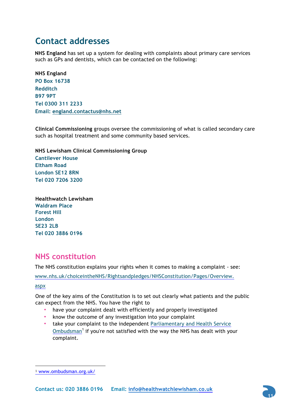# **Contact addresses**

**NHS England** has set up a system for dealing with complaints about primary care services such as GPs and dentists, which can be contacted on the following:

**NHS England PO Box 16738 Redditch B97 9PT Tel 0300 311 2233 Email: england.contactus@nhs.net** 

**Clinical Commissioning** groups oversee the commissioning of what is called secondary care such as hospital treatment and some community based services.

**NHS Lewisham Clinical Commissioning Group Cantilever House Eltham Road London SE12 8RN Tel 020 7206 3200**

**Healthwatch Lewisham Waldram Place Forest Hill London SE23 2LB Tel 020 3886 0196**

### **NHS constitution**

The NHS constitution explains your rights when it comes to making a complaint - see:

www.nhs.uk/choiceintheNHS/Rightsandpledges/NHSConstitution/Pages/Overview.

aspx

-

One of the key aims of the Constitution is to set out clearly what patients and the public can expect from the NHS. You have the right to

- have your complaint dealt with efficiently and properly investigated
- know the outcome of any investigation into your complaint
- take your complaint to the independent Parliamentary and Health Service Ombudsman<sup>1</sup> if you're not satisfied with the way the NHS has dealt with your complaint.



<sup>1</sup> www.ombudsman.org.uk/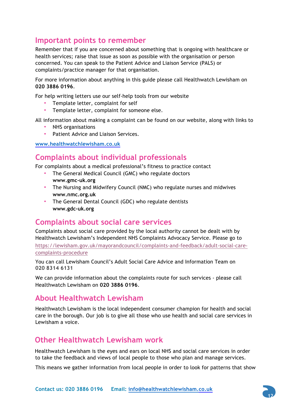### **Important points to remember**

Remember that if you are concerned about something that is ongoing with healthcare or health services; raise that issue as soon as possible with the organisation or person concerned. You can speak to the Patient Advice and Liaison Service (PALS) or complaints/practice manager for that organisation.

For more information about anything in this guide please call Healthwatch Lewisham on **020 3886 0196**.

For help writing letters use our self-help tools from our website

- Template letter, complaint for self
- Template letter, complaint for someone else.

All information about making a complaint can be found on our website, along with links to

- NHS organisations
- Patient Advice and Liaison Services.

**www.healthwatchlewisham.co.uk**

### **Complaints about individual professionals**

For complaints about a medical professional's fitness to practice contact

- The General Medical Council (GMC) who regulate doctors **www.gmc-uk.org**
- The Nursing and Midwifery Council (NMC) who regulate nurses and midwives **www.nmc.org.uk**
- The General Dental Council (GDC) who regulate dentists **www.gdc-uk.org**

### **Complaints about social care services**

Complaints about social care provided by the local authority cannot be dealt with by Healthwatch Lewisham's Independent NHS Complaints Advocacy Service. Please go to https://lewisham.gov.uk/mayorandcouncil/complaints-and-feedback/adult-social-carecomplaints-procedure

You can call Lewisham Council's Adult Social Care Advice and Information Team on **020 8314 6131**

We can provide information about the complaints route for such services - please call Healthwatch Lewisham on **020 3886 0196**.

### **About Healthwatch Lewisham**

Healthwatch Lewisham is the local independent consumer champion for health and social care in the borough. Our job is to give all those who use health and social care services in Lewisham a voice.

### **Other Healthwatch Lewisham work**

Healthwatch Lewisham is the eyes and ears on local NHS and social care services in order to take the feedback and views of local people to those who plan and manage services.

This means we gather information from local people in order to look for patterns that show

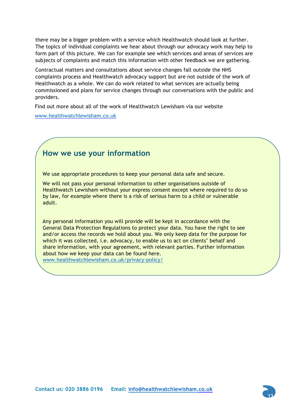there may be a bigger problem with a service which Healthwatch should look at further. The topics of individual complaints we hear about through our advocacy work may help to form part of this picture. We can for example see which services and areas of services are subjects of complaints and match this information with other feedback we are gathering.

Contractual matters and consultations about service changes fall outside the NHS complaints process and Healthwatch advocacy support but are not outside of the work of Healthwatch as a whole. We can do work related to what services are actually being commissioned and plans for service changes through our conversations with the public and providers.

Find out more about all of the work of Healthwatch Lewisham via our website

www.healthwatchlewisham.co.uk

### **How we use your information**

We use appropriate procedures to keep your personal data safe and secure.

We will not pass your personal information to other organisations outside of Healthwatch Lewisham without your express consent except where required to do so by law, for example where there is a risk of serious harm to a child or vulnerable adult.

Any personal information you will provide will be kept in accordance with the General Data Protection Regulations to protect your data. You have the right to see and/or access the records we hold about you. We only keep data for the purpose for which it was collected, i.e. advocacy, to enable us to act on clients' behalf and share information, with your agreement, with relevant parties. Further information about how we keep your data can be found here.

www.healthwatchlewisham.co.uk/privacy-policy/